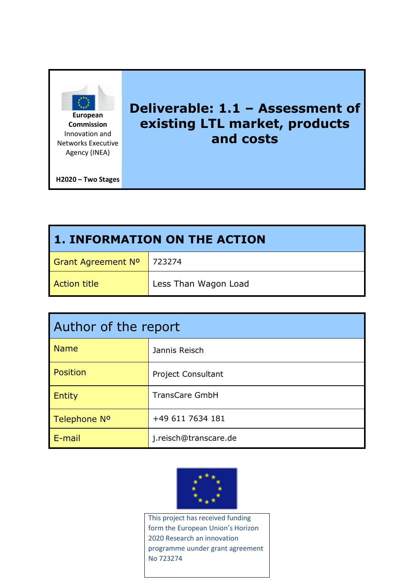

**Commission** Innovation and Networks Executive Agency (INEA)

# **Deliverable: 1.1 – Assessment of existing LTL market, products and costs**

**H2020 – Two Stages** 

| <b>1. INFORMATION ON THE ACTION</b> |                      |  |  |  |  |  |
|-------------------------------------|----------------------|--|--|--|--|--|
| Grant Agreement Nº   723274         |                      |  |  |  |  |  |
| Action title                        | Less Than Wagon Load |  |  |  |  |  |

| Author of the report |                           |  |  |  |  |
|----------------------|---------------------------|--|--|--|--|
| <b>Name</b>          | Jannis Reisch             |  |  |  |  |
| <b>Position</b>      | <b>Project Consultant</b> |  |  |  |  |
| <b>Entity</b>        | <b>TransCare GmbH</b>     |  |  |  |  |
| Telephone Nº         | +49 611 7634 181          |  |  |  |  |
| E-mail               | j.reisch@transcare.de     |  |  |  |  |



This project has received funding form the European Union's Horizon 2020 Research an innovation programme uunder grant agreement No 723274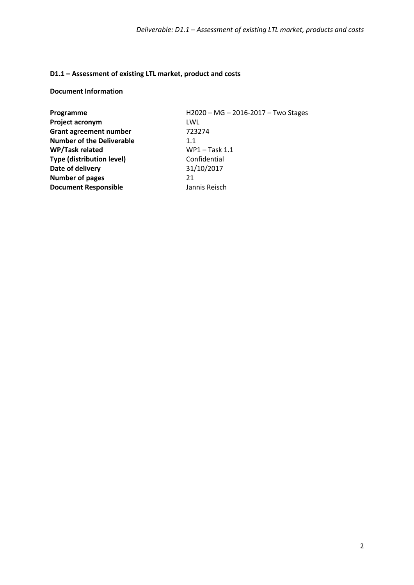### **D1.1 – Assessment of existing LTL market, product and costs**

#### **Document Information**

| Programme                        | H2020 - MG - 2016-2017 - Two Stages |
|----------------------------------|-------------------------------------|
| Project acronym                  | LWL                                 |
| <b>Grant agreement number</b>    | 723274                              |
| <b>Number of the Deliverable</b> | 1.1                                 |
| WP/Task related                  | WP1-Task 1.1                        |
| <b>Type (distribution level)</b> | Confidential                        |
| Date of delivery                 | 31/10/2017                          |
| <b>Number of pages</b>           | 21                                  |
| <b>Document Responsible</b>      | Jannis Reisch                       |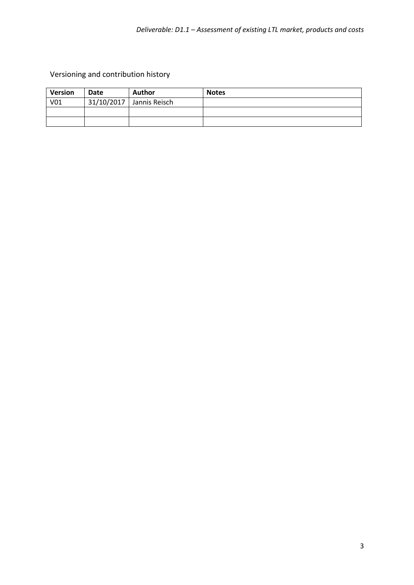Versioning and contribution history

| <b>Version</b> | Date       | <b>Author</b> | <b>Notes</b> |
|----------------|------------|---------------|--------------|
| V01            | 31/10/2017 | Jannis Reisch |              |
|                |            |               |              |
|                |            |               |              |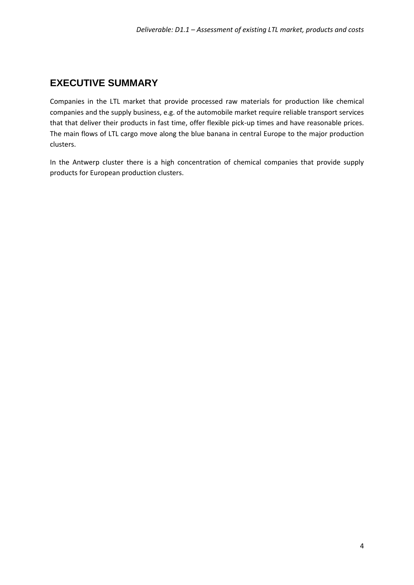# <span id="page-3-0"></span>**EXECUTIVE SUMMARY**

Companies in the LTL market that provide processed raw materials for production like chemical companies and the supply business, e.g. of the automobile market require reliable transport services that that deliver their products in fast time, offer flexible pick-up times and have reasonable prices. The main flows of LTL cargo move along the blue banana in central Europe to the major production clusters.

In the Antwerp cluster there is a high concentration of chemical companies that provide supply products for European production clusters.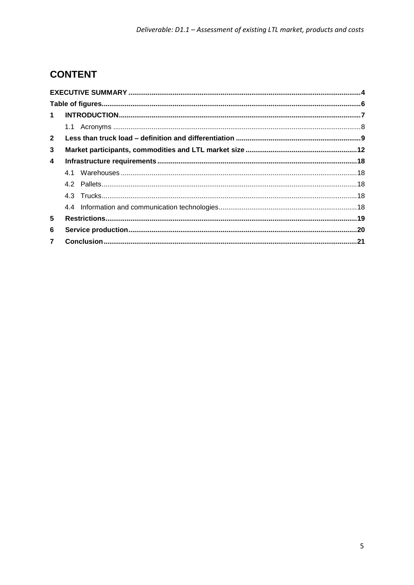# **CONTENT**

| $\mathbf 1$    |  |
|----------------|--|
|                |  |
| $\mathbf{2}$   |  |
| 3              |  |
| 4              |  |
|                |  |
|                |  |
|                |  |
|                |  |
| 5              |  |
| 6              |  |
| $\overline{7}$ |  |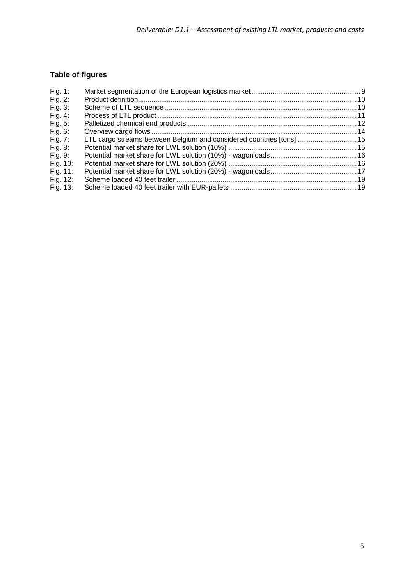# <span id="page-5-0"></span>**Table of figures**

| Fig. 1:     |                                                                       |  |
|-------------|-----------------------------------------------------------------------|--|
| Fig. $2$ :  |                                                                       |  |
| Fig. 3:     |                                                                       |  |
| Fig. 4:     |                                                                       |  |
| Fig. $5:$   |                                                                       |  |
| Fig. 6:     |                                                                       |  |
| Fig. 7:     | LTL cargo streams between Belgium and considered countries [tons]  15 |  |
| Fig. 8:     |                                                                       |  |
| Fig. 9:     |                                                                       |  |
| Fig. 10:    |                                                                       |  |
| Fig. $11$ : |                                                                       |  |
| Fig. 12:    |                                                                       |  |
| Fig. 13:    |                                                                       |  |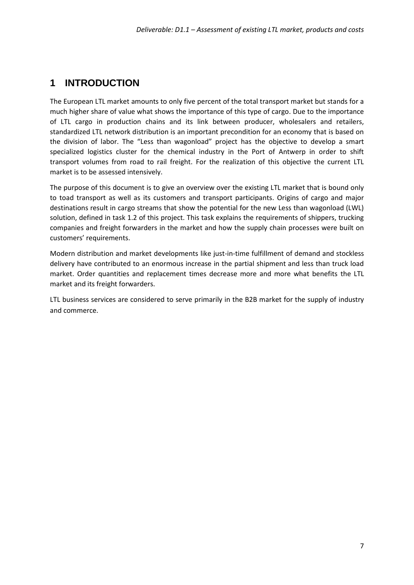# <span id="page-6-0"></span>**1 INTRODUCTION**

The European LTL market amounts to only five percent of the total transport market but stands for a much higher share of value what shows the importance of this type of cargo. Due to the importance of LTL cargo in production chains and its link between producer, wholesalers and retailers, standardized LTL network distribution is an important precondition for an economy that is based on the division of labor. The "Less than wagonload" project has the objective to develop a smart specialized logistics cluster for the chemical industry in the Port of Antwerp in order to shift transport volumes from road to rail freight. For the realization of this objective the current LTL market is to be assessed intensively.

The purpose of this document is to give an overview over the existing LTL market that is bound only to toad transport as well as its customers and transport participants. Origins of cargo and major destinations result in cargo streams that show the potential for the new Less than wagonload (LWL) solution, defined in task 1.2 of this project. This task explains the requirements of shippers, trucking companies and freight forwarders in the market and how the supply chain processes were built on customers' requirements.

Modern distribution and market developments like just-in-time fulfillment of demand and stockless delivery have contributed to an enormous increase in the partial shipment and less than truck load market. Order quantities and replacement times decrease more and more what benefits the LTL market and its freight forwarders.

LTL business services are considered to serve primarily in the B2B market for the supply of industry and commerce.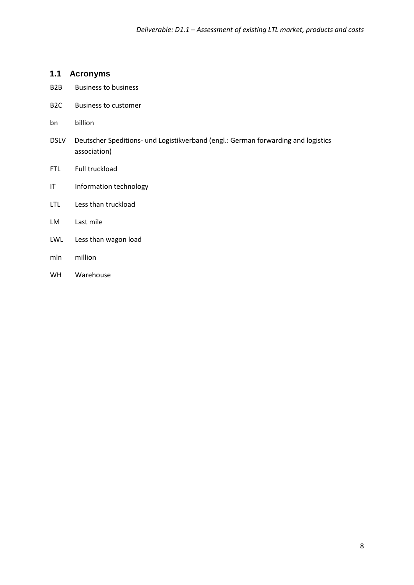### <span id="page-7-0"></span>**1.1 Acronyms**

- B2B Business to business
- B2C Business to customer
- bn billion
- DSLV Deutscher Speditions- und Logistikverband (engl.: German forwarding and logistics association)
- FTL Full truckload
- IT Information technology
- LTL Less than truckload
- LM Last mile
- LWL Less than wagon load
- mln million
- WH Warehouse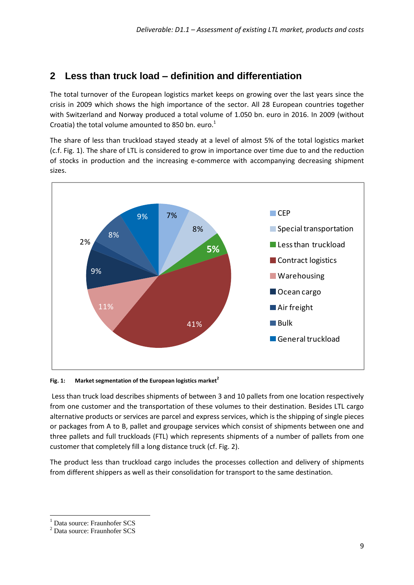### <span id="page-8-0"></span>**2 Less than truck load – definition and differentiation**

The total turnover of the European logistics market keeps on growing over the last years since the crisis in 2009 which shows the high importance of the sector. All 28 European countries together with Switzerland and Norway produced a total volume of 1.050 bn. euro in 2016. In 2009 (without Croatia) the total volume amounted to 850 bn. euro.<sup>1</sup>

The share of less than truckload stayed steady at a level of almost 5% of the total logistics market (c.f. [Fig. 1\)](#page-8-1). The share of LTL is considered to grow in importance over time due to and the reduction of stocks in production and the increasing e-commerce with accompanying decreasing shipment sizes.



<span id="page-8-1"></span>**Fig. 1: Market segmentation of the European logistics market<sup>2</sup>**

Less than truck load describes shipments of between 3 and 10 pallets from one location respectively from one customer and the transportation of these volumes to their destination. Besides LTL cargo alternative products or services are parcel and express services, which is the shipping of single pieces or packages from A to B, pallet and groupage services which consist of shipments between one and three pallets and full truckloads (FTL) which represents shipments of a number of pallets from one customer that completely fill a long distance truck (cf[. Fig. 2\)](#page-9-0).

The product less than truckload cargo includes the processes collection and delivery of shipments from different shippers as well as their consolidation for transport to the same destination.

 $\ddot{\phantom{a}}$ <sup>1</sup> Data source: Fraunhofer SCS

<sup>2</sup> Data source: Fraunhofer SCS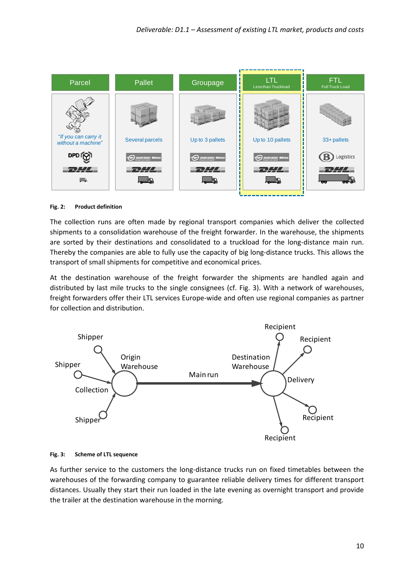

#### <span id="page-9-0"></span>**Fig. 2: Product definition**

The collection runs are often made by regional transport companies which deliver the collected shipments to a consolidation warehouse of the freight forwarder. In the warehouse, the shipments are sorted by their destinations and consolidated to a truckload for the long-distance main run. Thereby the companies are able to fully use the capacity of big long-distance trucks. This allows the transport of small shipments for competitive and economical prices.

At the destination warehouse of the freight forwarder the shipments are handled again and distributed by last mile trucks to the single consignees (cf. [Fig. 3\)](#page-9-1). With a network of warehouses, freight forwarders offer their LTL services Europe-wide and often use regional companies as partner for collection and distribution.



#### <span id="page-9-1"></span>**Fig. 3: Scheme of LTL sequence**

As further service to the customers the long-distance trucks run on fixed timetables between the warehouses of the forwarding company to guarantee reliable delivery times for different transport distances. Usually they start their run loaded in the late evening as overnight transport and provide the trailer at the destination warehouse in the morning.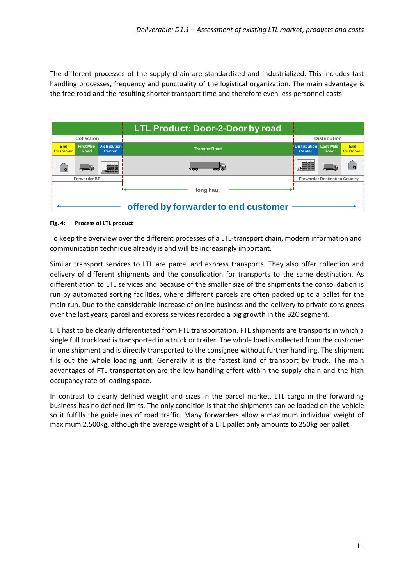The different processes of the supply chain are standardized and industrialized. This includes fast handling processes, frequency and punctuality of the logistical organization. The main advantage is the free road and the resulting shorter transport time and therefore even less personnel costs.

|                               |                           |                                      | <b>LTL Product: Door-2-Door by road</b> |                                      |                                      |                               |
|-------------------------------|---------------------------|--------------------------------------|-----------------------------------------|--------------------------------------|--------------------------------------|-------------------------------|
|                               | Collection                |                                      |                                         |                                      | <b>Distribution</b>                  |                               |
| <b>End</b><br><b>Customer</b> | <b>First Mile</b><br>Road | <b>Distribution</b><br><b>Center</b> | <b>Transfer Road</b>                    | <b>Distribution</b><br><b>Center</b> | <b>Last Mile</b><br>Road             | <b>End</b><br><b>Customer</b> |
|                               | نچلے ا                    | --<br>--<br>--                       | - 66<br>os (                            | ور است<br>---                        |                                      |                               |
|                               | Forwarder BE              |                                      |                                         |                                      | <b>Forwarder Destination Country</b> |                               |
|                               |                           |                                      | long haul                               |                                      |                                      |                               |
|                               |                           |                                      | offered by forwarder to end customer    |                                      |                                      |                               |

#### <span id="page-10-0"></span>**Fig. 4: Process of LTL product**

To keep the overview over the different processes of a LTL-transport chain, modern information and communication technique already is and will be increasingly important.

Similar transport services to LTL are parcel and express transports. They also offer collection and delivery of different shipments and the consolidation for transports to the same destination. As differentiation to LTL services and because of the smaller size of the shipments the consolidation is run by automated sorting facilities, where different parcels are often packed up to a pallet for the main run. Due to the considerable increase of online business and the delivery to private consignees over the last years, parcel and express services recorded a big growth in the B2C segment.

LTL hast to be clearly differentiated from FTL transportation. FTL shipments are transports in which a single full truckload is transported in a truck or trailer. The whole load is collected from the customer in one shipment and is directly transported to the consignee without further handling. The shipment fills out the whole loading unit. Generally it is the fastest kind of transport by truck. The main advantages of FTL transportation are the low handling effort within the supply chain and the high occupancy rate of loading space.

In contrast to clearly defined weight and sizes in the parcel market, LTL cargo in the forwarding business has no defined limits. The only condition is that the shipments can be loaded on the vehicle so it fulfills the guidelines of road traffic. Many forwarders allow a maximum individual weight of maximum 2.500kg, although the average weight of a LTL pallet only amounts to 250kg per pallet.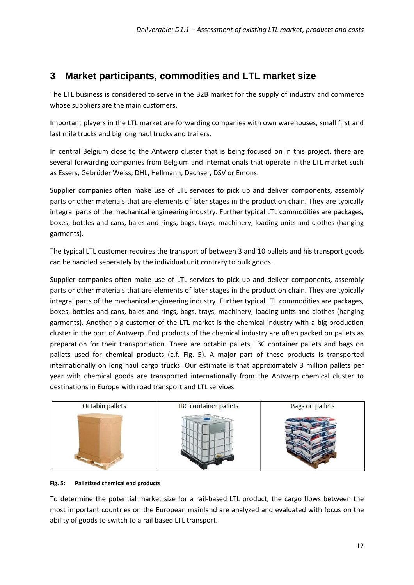# <span id="page-11-0"></span>**3 Market participants, commodities and LTL market size**

The LTL business is considered to serve in the B2B market for the supply of industry and commerce whose suppliers are the main customers.

Important players in the LTL market are forwarding companies with own warehouses, small first and last mile trucks and big long haul trucks and trailers.

In central Belgium close to the Antwerp cluster that is being focused on in this project, there are several forwarding companies from Belgium and internationals that operate in the LTL market such as Essers, Gebrüder Weiss, DHL, Hellmann, Dachser, DSV or Emons.

Supplier companies often make use of LTL services to pick up and deliver components, assembly parts or other materials that are elements of later stages in the production chain. They are typically integral parts of the mechanical engineering industry. Further typical LTL commodities are packages, boxes, bottles and cans, bales and rings, bags, trays, machinery, loading units and clothes (hanging garments).

The typical LTL customer requires the transport of between 3 and 10 pallets and his transport goods can be handled seperately by the individual unit contrary to bulk goods.

Supplier companies often make use of LTL services to pick up and deliver components, assembly parts or other materials that are elements of later stages in the production chain. They are typically integral parts of the mechanical engineering industry. Further typical LTL commodities are packages, boxes, bottles and cans, bales and rings, bags, trays, machinery, loading units and clothes (hanging garments). Another big customer of the LTL market is the chemical industry with a big production cluster in the port of Antwerp. End products of the chemical industry are often packed on pallets as preparation for their transportation. There are octabin pallets, IBC container pallets and bags on pallets used for chemical products (c.f. [Fig. 5\)](#page-11-1). A major part of these products is transported internationally on long haul cargo trucks. Our estimate is that approximately 3 million pallets per year with chemical goods are transported internationally from the Antwerp chemical cluster to destinations in Europe with road transport and LTL services.



#### <span id="page-11-1"></span>**Fig. 5: Palletized chemical end products**

To determine the potential market size for a rail-based LTL product, the cargo flows between the most important countries on the European mainland are analyzed and evaluated with focus on the ability of goods to switch to a rail based LTL transport.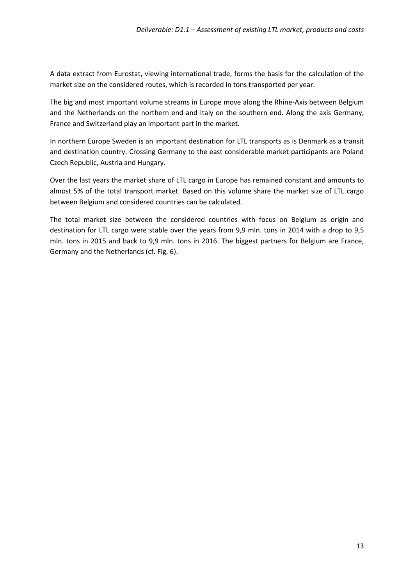A data extract from Eurostat, viewing international trade, forms the basis for the calculation of the market size on the considered routes, which is recorded in tons transported per year.

The big and most important volume streams in Europe move along the Rhine-Axis between Belgium and the Netherlands on the northern end and Italy on the southern end. Along the axis Germany, France and Switzerland play an important part in the market.

In northern Europe Sweden is an important destination for LTL transports as is Denmark as a transit and destination country. Crossing Germany to the east considerable market participants are Poland Czech Republic, Austria and Hungary.

Over the last years the market share of LTL cargo in Europe has remained constant and amounts to almost 5% of the total transport market. Based on this volume share the market size of LTL cargo between Belgium and considered countries can be calculated.

The total market size between the considered countries with focus on Belgium as origin and destination for LTL cargo were stable over the years from 9,9 mln. tons in 2014 with a drop to 9,5 mln. tons in 2015 and back to 9,9 mln. tons in 2016. The biggest partners for Belgium are France, Germany and the Netherlands (cf. [Fig. 6\)](#page-13-0).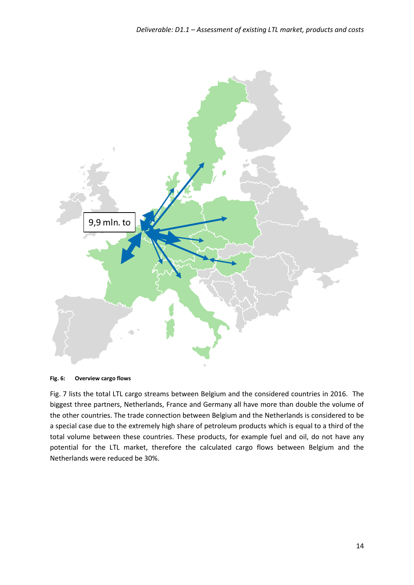

<span id="page-13-0"></span>**Fig. 6: Overview cargo flows**

[Fig. 7](#page-14-0) lists the total LTL cargo streams between Belgium and the considered countries in 2016. The biggest three partners, Netherlands, France and Germany all have more than double the volume of the other countries. The trade connection between Belgium and the Netherlands is considered to be a special case due to the extremely high share of petroleum products which is equal to a third of the total volume between these countries. These products, for example fuel and oil, do not have any potential for the LTL market, therefore the calculated cargo flows between Belgium and the Netherlands were reduced be 30%.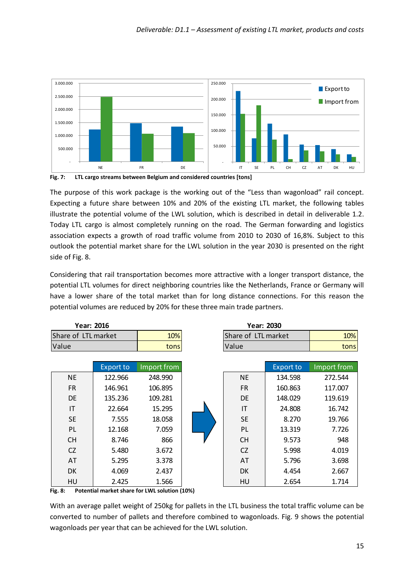

<span id="page-14-0"></span>**Fig. 7: LTL cargo streams between Belgium and considered countries [tons]**

The purpose of this work package is the working out of the "Less than wagonload" rail concept. Expecting a future share between 10% and 20% of the existing LTL market, the following tables illustrate the potential volume of the LWL solution, which is described in detail in deliverable 1.2. Today LTL cargo is almost completely running on the road. The German forwarding and logistics association expects a growth of road traffic volume from 2010 to 2030 of 16,8%. Subject to this outlook the potential market share for the LWL solution in the year 2030 is presented on the right side of [Fig. 8.](#page-14-1)

Considering that rail transportation becomes more attractive with a longer transport distance, the potential LTL volumes for direct neighboring countries like the Netherlands, France or Germany will have a lower share of the total market than for long distance connections. For this reason the potential volumes are reduced by 20% for these three main trade partners.

| Year: 2016          |                  |             | <b>Year: 2030</b> |                     |                  |             |
|---------------------|------------------|-------------|-------------------|---------------------|------------------|-------------|
| Share of LTL market |                  | 10%         |                   | Share of LTL market |                  | 10%         |
| Value               |                  | tons        |                   | Value               |                  | tons        |
|                     |                  |             |                   |                     |                  |             |
|                     | <b>Export to</b> | Import from |                   |                     | <b>Export to</b> | Import from |
| <b>NE</b>           | 122.966          | 248.990     |                   | <b>NE</b>           | 134.598          | 272.544     |
| FR.                 | 146.961          | 106.895     |                   | <b>FR</b>           | 160.863          | 117.007     |
| <b>DE</b>           | 135.236          | 109.281     |                   | <b>DE</b>           | 148.029          | 119.619     |
| IT                  | 22.664           | 15.295      |                   | IT                  | 24.808           | 16.742      |
| <b>SE</b>           | 7.555            | 18.058      |                   | <b>SE</b>           | 8.270            | 19.766      |
| PL                  | 12.168           | 7.059       |                   | PL                  | 13.319           | 7.726       |
| <b>CH</b>           | 8.746            | 866         |                   | <b>CH</b>           | 9.573            | 948         |
| CZ                  | 5.480            | 3.672       |                   | CZ                  | 5.998            | 4.019       |
| AT                  | 5.295            | 3.378       |                   | AT                  | 5.796            | 3.698       |
| DK.                 | 4.069            | 2.437       |                   | <b>DK</b>           | 4.454            | 2.667       |
| HU                  | 2.425            | 1.566       |                   | HU                  | 2.654            | 1.714       |

<span id="page-14-1"></span>**Fig. 8: Potential market share for LWL solution (10%)**

With an average pallet weight of 250kg for pallets in the LTL business the total traffic volume can be converted to number of pallets and therefore combined to wagonloads. [Fig. 9](#page-15-0) shows the potential wagonloads per year that can be achieved for the LWL solution.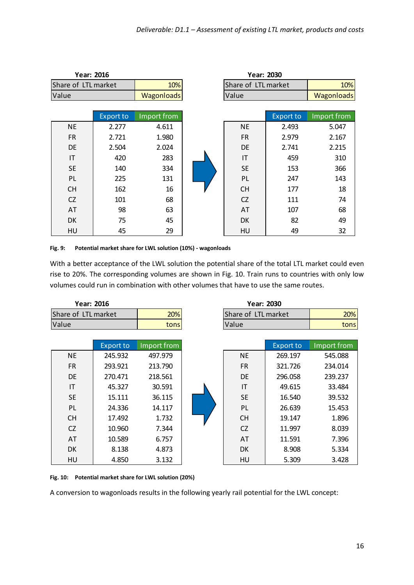| Year: 2016<br><b>Year: 2030</b> |                  |                   |  |                     |                  |                   |
|---------------------------------|------------------|-------------------|--|---------------------|------------------|-------------------|
| Share of LTL market             |                  | 10%               |  | Share of LTL market |                  | 10%               |
| Value                           |                  | <b>Wagonloads</b> |  | Value               |                  | <b>Wagonloads</b> |
|                                 |                  |                   |  |                     |                  |                   |
|                                 | <b>Export to</b> | Import from       |  |                     | <b>Export to</b> | Import from       |
| <b>NE</b>                       | 2.277            | 4.611             |  | NE                  | 2.493            | 5.047             |
| <b>FR</b>                       | 2.721            | 1.980             |  | <b>FR</b>           | 2.979            | 2.167             |
| DE                              | 2.504            | 2.024             |  | DE                  | 2.741            | 2.215             |
| IT                              | 420              | 283               |  | IT                  | 459              | 310               |
| <b>SE</b>                       | 140              | 334               |  | <b>SE</b>           | 153              | 366               |
| PL                              | 225              | 131               |  | PL                  | 247              | 143               |
| <b>CH</b>                       | 162              | 16                |  | <b>CH</b>           | 177              | 18                |
| <b>CZ</b>                       | 101              | 68                |  | CZ                  | 111              | 74                |
| AT                              | 98               | 63                |  | AT                  | 107              | 68                |
| DK                              | 75               | 45                |  | DK                  | 82               | 49                |
| HU                              | 45               | 29                |  | HU                  | 49               | 32                |

<span id="page-15-0"></span>**Fig. 9: Potential market share for LWL solution (10%) - wagonloads**

With a better acceptance of the LWL solution the potential share of the total LTL market could even rise to 20%. The corresponding volumes are shown in [Fig. 10.](#page-15-1) Train runs to countries with only low volumes could run in combination with other volumes that have to use the same routes.

| Year: 2016          |                  | <b>Year: 2030</b> |                     |           |             |
|---------------------|------------------|-------------------|---------------------|-----------|-------------|
| Share of LTL market |                  | 20%               | Share of LTL market |           | 20%         |
| Value               |                  | tons              | Value               |           | tons        |
|                     |                  |                   |                     |           |             |
|                     | <b>Export to</b> | Import from       |                     | Export to | Import from |
| <b>NE</b>           | 245.932          | 497.979           | <b>NE</b>           | 269.197   | 545.088     |
| <b>FR</b>           | 293.921          | 213.790           | <b>FR</b>           | 321.726   | 234.014     |
| <b>DE</b>           | 270.471          | 218.561           | <b>DE</b>           | 296.058   | 239.237     |
| IT                  | 45.327           | 30.591            | IT                  | 49.615    | 33.484      |
| <b>SE</b>           | 15.111           | 36.115            | <b>SE</b>           | 16.540    | 39.532      |
| PL                  | 24.336           | 14.117            | <b>PL</b>           | 26.639    | 15.453      |
| <b>CH</b>           | 17.492           | 1.732             | <b>CH</b>           | 19.147    | 1.896       |
| CZ                  | 10.960           | 7.344             | CZ                  | 11.997    | 8.039       |
| AT                  | 10.589           | 6.757             | AT                  | 11.591    | 7.396       |
| DK.                 | 8.138            | 4.873             | <b>DK</b>           | 8.908     | 5.334       |
| HU                  | 4.850            | 3.132             | HU                  | 5.309     | 3.428       |

<span id="page-15-1"></span>**Fig. 10: Potential market share for LWL solution (20%)**

A conversion to wagonloads results in the following yearly rail potential for the LWL concept: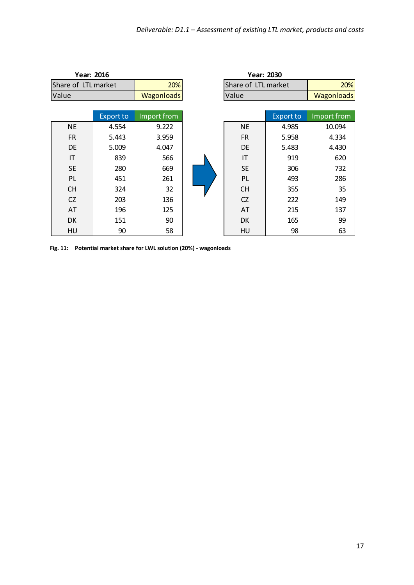| Year: 2016<br><b>Year: 2030</b> |                  |                   |  |                     |                  |                   |
|---------------------------------|------------------|-------------------|--|---------------------|------------------|-------------------|
| Share of LTL market             |                  | 20%               |  | Share of LTL market |                  | 20%               |
| Value                           |                  | <b>Wagonloads</b> |  | Value               |                  | <b>Wagonloads</b> |
|                                 |                  |                   |  |                     |                  |                   |
|                                 | <b>Export to</b> | Import from       |  |                     | <b>Export to</b> | Import from       |
| <b>NE</b>                       | 4.554            | 9.222             |  | <b>NE</b>           | 4.985            | 10.094            |
| <b>FR</b>                       | 5.443            | 3.959             |  | <b>FR</b>           | 5.958            | 4.334             |
| DE                              | 5.009            | 4.047             |  | DE                  | 5.483            | 4.430             |
| IT                              | 839              | 566               |  | IT                  | 919              | 620               |
| <b>SE</b>                       | 280              | 669               |  | <b>SE</b>           | 306              | 732               |
| PL                              | 451              | 261               |  | PL                  | 493              | 286               |
| <b>CH</b>                       | 324              | 32                |  | <b>CH</b>           | 355              | 35                |
| <b>CZ</b>                       | 203              | 136               |  | <b>CZ</b>           | 222              | 149               |
| AT                              | 196              | 125               |  | AT                  | 215              | 137               |
| DK                              | 151              | 90                |  | <b>DK</b>           | 165              | 99                |
| HU                              | 90               | 58                |  | HU                  | 98               | 63                |

<span id="page-16-0"></span>**Fig. 11: Potential market share for LWL solution (20%) - wagonloads**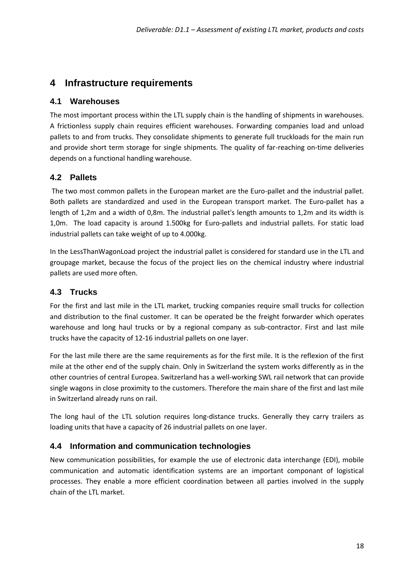## <span id="page-17-0"></span>**4 Infrastructure requirements**

### <span id="page-17-1"></span>**4.1 Warehouses**

The most important process within the LTL supply chain is the handling of shipments in warehouses. A frictionless supply chain requires efficient warehouses. Forwarding companies load and unload pallets to and from trucks. They consolidate shipments to generate full truckloads for the main run and provide short term storage for single shipments. The quality of far-reaching on-time deliveries depends on a functional handling warehouse.

### <span id="page-17-2"></span>**4.2 Pallets**

The two most common pallets in the European market are the Euro-pallet and the industrial pallet. Both pallets are standardized and used in the European transport market. The Euro-pallet has a length of 1,2m and a width of 0,8m. The industrial pallet's length amounts to 1,2m and its width is 1,0m. The load capacity is around 1.500kg for Euro-pallets and industrial pallets. For static load industrial pallets can take weight of up to 4.000kg.

In the LessThanWagonLoad project the industrial pallet is considered for standard use in the LTL and groupage market, because the focus of the project lies on the chemical industry where industrial pallets are used more often.

### <span id="page-17-3"></span>**4.3 Trucks**

For the first and last mile in the LTL market, trucking companies require small trucks for collection and distribution to the final customer. It can be operated be the freight forwarder which operates warehouse and long haul trucks or by a regional company as sub-contractor. First and last mile trucks have the capacity of 12-16 industrial pallets on one layer.

For the last mile there are the same requirements as for the first mile. It is the reflexion of the first mile at the other end of the supply chain. Only in Switzerland the system works differently as in the other countries of central Europea. Switzerland has a well-working SWL rail network that can provide single wagons in close proximity to the customers. Therefore the main share of the first and last mile in Switzerland already runs on rail.

The long haul of the LTL solution requires long-distance trucks. Generally they carry trailers as loading units that have a capacity of 26 industrial pallets on one layer.

### <span id="page-17-4"></span>**4.4 Information and communication technologies**

New communication possibilities, for example the use of electronic data interchange (EDI), mobile communication and automatic identification systems are an important componant of logistical processes. They enable a more efficient coordination between all parties involved in the supply chain of the LTL market.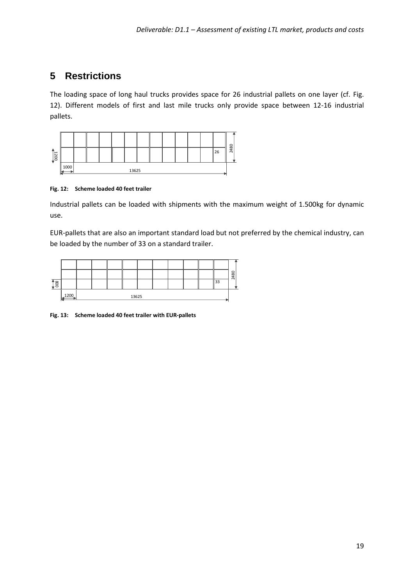## <span id="page-18-0"></span>**5 Restrictions**

The loading space of long haul trucks provides space for 26 industrial pallets on one layer (cf. [Fig.](#page-18-1)  [12\)](#page-18-1). Different models of first and last mile trucks only provide space between 12-16 industrial pallets.



#### <span id="page-18-1"></span>**Fig. 12: Scheme loaded 40 feet trailer**

Industrial pallets can be loaded with shipments with the maximum weight of 1.500kg for dynamic use.

EUR-pallets that are also an important standard load but not preferred by the chemical industry, can be loaded by the number of 33 on a standard trailer.

|                   |      |       |  |  |  |  |  |  |  |  |    | 2480 |
|-------------------|------|-------|--|--|--|--|--|--|--|--|----|------|
| $\overline{1\$ 8} |      |       |  |  |  |  |  |  |  |  | າາ |      |
|                   | 1200 | 13625 |  |  |  |  |  |  |  |  |    |      |

#### <span id="page-18-2"></span>**Fig. 13: Scheme loaded 40 feet trailer with EUR-pallets**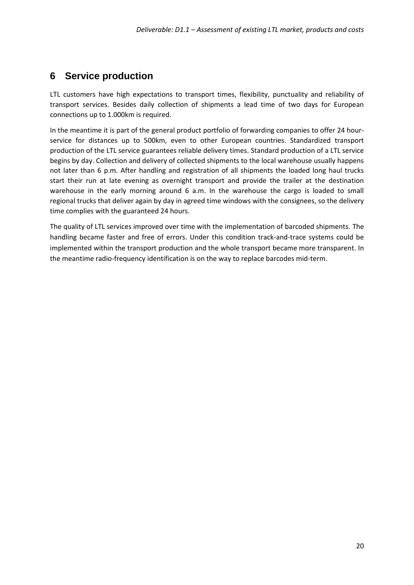## <span id="page-19-0"></span>**6 Service production**

LTL customers have high expectations to transport times, flexibility, punctuality and reliability of transport services. Besides daily collection of shipments a lead time of two days for European connections up to 1.000km is required.

In the meantime it is part of the general product portfolio of forwarding companies to offer 24 hourservice for distances up to 500km, even to other European countries. Standardized transport production of the LTL service guarantees reliable delivery times. Standard production of a LTL service begins by day. Collection and delivery of collected shipments to the local warehouse usually happens not later than 6 p.m. After handling and registration of all shipments the loaded long haul trucks start their run at late evening as overnight transport and provide the trailer at the destination warehouse in the early morning around 6 a.m. In the warehouse the cargo is loaded to small regional trucks that deliver again by day in agreed time windows with the consignees, so the delivery time complies with the guaranteed 24 hours.

The quality of LTL services improved over time with the implementation of barcoded shipments. The handling became faster and free of errors. Under this condition track-and-trace systems could be implemented within the transport production and the whole transport became more transparent. In the meantime radio-frequency identification is on the way to replace barcodes mid-term.